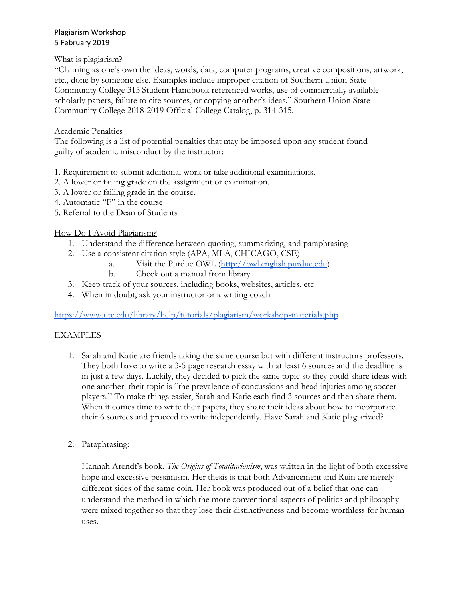### Plagiarism Workshop 5 February 2019

## What is plagiarism?

"Claiming as one's own the ideas, words, data, computer programs, creative compositions, artwork, etc., done by someone else. Examples include improper citation of Southern Union State Community College 315 Student Handbook referenced works, use of commercially available scholarly papers, failure to cite sources, or copying another's ideas." Southern Union State Community College 2018-2019 Official College Catalog, p. 314-315.

## Academic Penalties

The following is a list of potential penalties that may be imposed upon any student found guilty of academic misconduct by the instructor:

- 1. Requirement to submit additional work or take additional examinations.
- 2. A lower or failing grade on the assignment or examination.
- 3. A lower or failing grade in the course.
- 4. Automatic "F" in the course
- 5. Referral to the Dean of Students

# How Do I Avoid Plagiarism?

- 1. Understand the difference between quoting, summarizing, and paraphrasing
- 2. Use a consistent citation style (APA, MLA, CHICAGO, CSE)
	- a. Visit the Purdue OWL [\(http://owl.english.purdue.edu\)](http://owl.english.purdue.edu/)
	- b. Check out a manual from library
- 3. Keep track of your sources, including books, websites, articles, etc.
- 4. When in doubt, ask your instructor or a writing coach

<https://www.utc.edu/library/help/tutorials/plagiarism/workshop-materials.php>

# EXAMPLES

- 1. Sarah and Katie are friends taking the same course but with different instructors professors. They both have to write a 3-5 page research essay with at least 6 sources and the deadline is in just a few days. Luckily, they decided to pick the same topic so they could share ideas with one another: their topic is "the prevalence of concussions and head injuries among soccer players." To make things easier, Sarah and Katie each find 3 sources and then share them. When it comes time to write their papers, they share their ideas about how to incorporate their 6 sources and proceed to write independently. Have Sarah and Katie plagiarized?
- 2. Paraphrasing:

Hannah Arendt's book, *The Origins of Totalitarianism*, was written in the light of both excessive hope and excessive pessimism. Her thesis is that both Advancement and Ruin are merely different sides of the same coin. Her book was produced out of a belief that one can understand the method in which the more conventional aspects of politics and philosophy were mixed together so that they lose their distinctiveness and become worthless for human uses.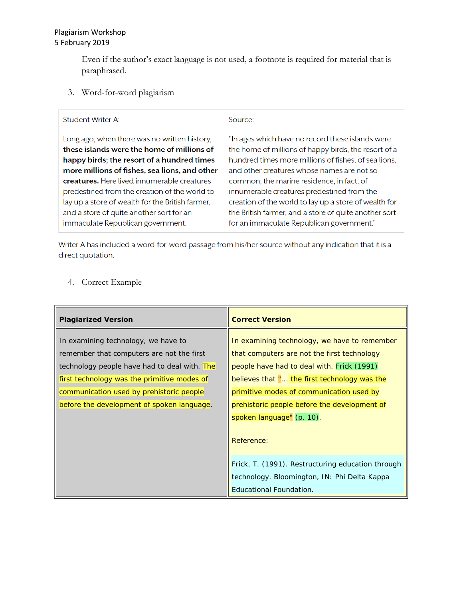Even if the author's exact language is not used, a footnote is required for material that is paraphrased.

3. Word-for-word plagiarism

#### **Student Writer A:**

Source:

Long ago, when there was no written history, these islands were the home of millions of happy birds; the resort of a hundred times more millions of fishes, sea lions, and other creatures. Here lived innumerable creatures predestined from the creation of the world to lay up a store of wealth for the British farmer, and a store of quite another sort for an immaculate Republican government.

"In ages which have no record these islands were the home of millions of happy birds, the resort of a hundred times more millions of fishes, of sea lions, and other creatures whose names are not so common; the marine residence, in fact, of innumerable creatures predestined from the creation of the world to lay up a store of wealth for the British farmer, and a store of quite another sort for an immaculate Republican government."

Writer A has included a word-for-word passage from his/her source without any indication that it is a direct quotation.

### 4. Correct Example

| <b>Plagiarized Version</b>                                                                                                       | <b>Correct Version</b>                                                                                                                    |
|----------------------------------------------------------------------------------------------------------------------------------|-------------------------------------------------------------------------------------------------------------------------------------------|
| In examining technology, we have to<br>remember that computers are not the first<br>technology people have had to deal with. The | In examining technology, we have to remember<br>that computers are not the first technology<br>people have had to deal with. Frick (1991) |
| first technology was the primitive modes of<br>communication used by prehistoric people                                          | believes that " the first technology was the<br>primitive modes of communication used by                                                  |
| before the development of spoken language.                                                                                       | prehistoric people before the development of<br>spoken language" (p. 10).<br>Reference:                                                   |
|                                                                                                                                  | Frick, T. (1991). Restructuring education through<br>technology. Bloomington, IN: Phi Delta Kappa<br>Educational Foundation.              |